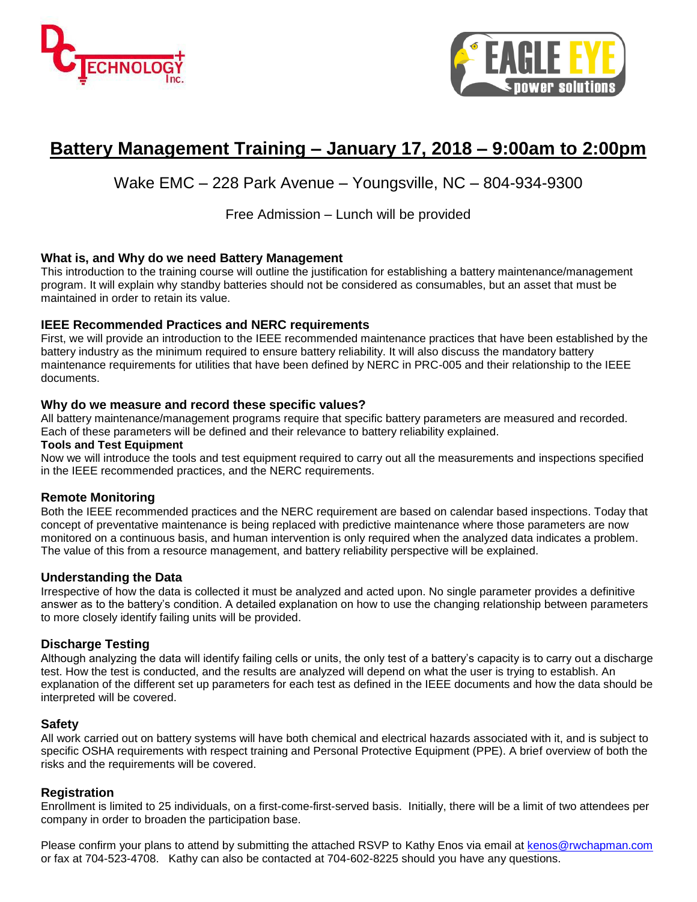



# **Battery Management Training – January 17, 2018 – 9:00am to 2:00pm**

### Wake EMC – 228 Park Avenue – Youngsville, NC – 804-934-9300

### Free Admission – Lunch will be provided

#### **What is, and Why do we need Battery Management**

This introduction to the training course will outline the justification for establishing a battery maintenance/management program. It will explain why standby batteries should not be considered as consumables, but an asset that must be maintained in order to retain its value.

#### **IEEE Recommended Practices and NERC requirements**

First, we will provide an introduction to the IEEE recommended maintenance practices that have been established by the battery industry as the minimum required to ensure battery reliability. It will also discuss the mandatory battery maintenance requirements for utilities that have been defined by NERC in PRC-005 and their relationship to the IEEE documents.

#### **Why do we measure and record these specific values?**

All battery maintenance/management programs require that specific battery parameters are measured and recorded. Each of these parameters will be defined and their relevance to battery reliability explained.

#### **Tools and Test Equipment**

Now we will introduce the tools and test equipment required to carry out all the measurements and inspections specified in the IEEE recommended practices, and the NERC requirements.

#### **Remote Monitoring**

Both the IEEE recommended practices and the NERC requirement are based on calendar based inspections. Today that concept of preventative maintenance is being replaced with predictive maintenance where those parameters are now monitored on a continuous basis, and human intervention is only required when the analyzed data indicates a problem. The value of this from a resource management, and battery reliability perspective will be explained.

#### **Understanding the Data**

Irrespective of how the data is collected it must be analyzed and acted upon. No single parameter provides a definitive answer as to the battery's condition. A detailed explanation on how to use the changing relationship between parameters to more closely identify failing units will be provided.

#### **Discharge Testing**

Although analyzing the data will identify failing cells or units, the only test of a battery's capacity is to carry out a discharge test. How the test is conducted, and the results are analyzed will depend on what the user is trying to establish. An explanation of the different set up parameters for each test as defined in the IEEE documents and how the data should be interpreted will be covered.

#### **Safety**

All work carried out on battery systems will have both chemical and electrical hazards associated with it, and is subject to specific OSHA requirements with respect training and Personal Protective Equipment (PPE). A brief overview of both the risks and the requirements will be covered.

#### **Registration**

Enrollment is limited to 25 individuals, on a first-come-first-served basis. Initially, there will be a limit of two attendees per company in order to broaden the participation base.

Please confirm your plans to attend by submitting the attached RSVP to Kathy Enos via email at [kenos@rwchapman.com](mailto:kenos@rwchapman.com) or fax at 704-523-4708. Kathy can also be contacted at 704-602-8225 should you have any questions.